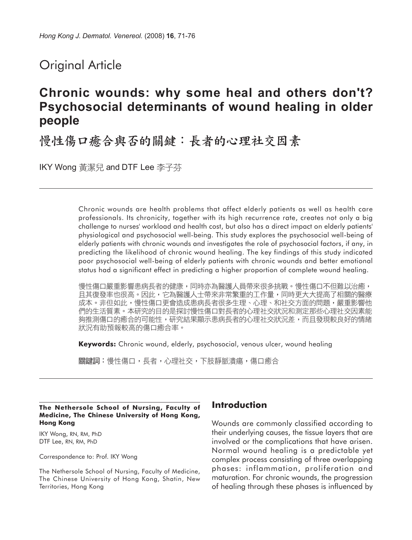# Original Article

# **Chronic wounds: why some heal and others don't? Psychosocial determinants of wound healing in older people**

慢性傷口癒合與否的關鍵:長者的心理社交因素

IKY Wong 黃潔兒 and DTF Lee 李子芬

Chronic wounds are health problems that affect elderly patients as well as health care professionals. Its chronicity, together with its high recurrence rate, creates not only a big challenge to nurses' workload and health cost, but also has a direct impact on elderly patients' physiological and psychosocial well-being. This study explores the psychosocial well-being of elderly patients with chronic wounds and investigates the role of psychosocial factors, if any, in predicting the likelihood of chronic wound healing. The key findings of this study indicated poor psychosocial well-being of elderly patients with chronic wounds and better emotional status had a significant effect in predicting a higher proportion of complete wound healing.

慢性傷口嚴重影響患病長者的健康,同時亦為醫護人員帶來很多挑戰。慢性傷口不但難以治癒, 且其復發率也很高。因此,它為醫護人士帶來非常繁重的工作量,同時更大大提高了相關的醫療 成本。非但如此,慢性傷口更會造成患病長者很多生理、心理、和社交方面的問題,嚴重影響他 們的生活質素。本研究的目的是探討慢性傷口對長者的心理社交狀況和測定那些心理社交因素能 夠推測傷口的癒合的可能性,研究結果顯示患病長者的心理社交狀況差,而且發現較良好的情緒 狀況有助預報較高的傷口癒合率。

**Keywords:** Chronic wound, elderly, psychosocial, venous ulcer, wound healing

關鍵詞:慢性傷口,長者,心理社交,下肢靜脈潰瘍,傷口癒合

#### **The Nethersole School of Nursing, Faculty of Medicine, The Chinese University of Hong Kong, Hong Kong**

IKY Wong, RN, RM, PhD DTF Lee, RN, RM, PhD

Correspondence to: Prof. IKY Wong

The Nethersole School of Nursing, Faculty of Medicine, The Chinese University of Hong Kong, Shatin, New Territories, Hong Kong

# **Introduction**

Wounds are commonly classified according to their underlying causes, the tissue layers that are involved or the complications that have arisen. Normal wound healing is a predictable yet complex process consisting of three overlapping phases: inflammation, proliferation and maturation. For chronic wounds, the progression of healing through these phases is influenced by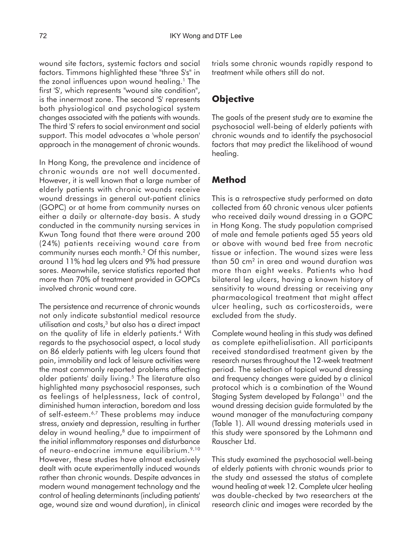wound site factors, systemic factors and social factors. Timmons highlighted these "three S's" in the zonal influences upon wound healing.<sup>1</sup> The first 'S', which represents "wound site condition", is the innermost zone. The second 'S' represents both physiological and psychological system changes associated with the patients with wounds. The third 'S' refers to social environment and social support. This model advocates a 'whole person' approach in the management of chronic wounds.

In Hong Kong, the prevalence and incidence of chronic wounds are not well documented. However, it is well known that a large number of elderly patients with chronic wounds receive wound dressings in general out-patient clinics (GOPC) or at home from community nurses on either a daily or alternate-day basis. A study conducted in the community nursing services in Kwun Tong found that there were around 200 (24%) patients receiving wound care from community nurses each month.2 Of this number, around 11% had leg ulcers and 9% had pressure sores. Meanwhile, service statistics reported that more than 70% of treatment provided in GOPCs involved chronic wound care.

The persistence and recurrence of chronic wounds not only indicate substantial medical resource utilisation and costs,3 but also has a direct impact on the quality of life in elderly patients.4 With regards to the psychosocial aspect, a local study on 86 elderly patients with leg ulcers found that pain, immobility and lack of leisure activities were the most commonly reported problems affecting older patients' daily living.<sup>5</sup> The literature also highlighted many psychosocial responses, such as feelings of helplessness, lack of control, diminished human interaction, boredom and loss of self-esteem.<sup>6,7</sup> These problems may induce stress, anxiety and depression, resulting in further delay in wound healing,<sup>8</sup> due to impairment of the initial inflammatory responses and disturbance of neuro-endocrine immune equilibrium.<sup>9,10</sup> However, these studies have almost exclusively dealt with acute experimentally induced wounds rather than chronic wounds. Despite advances in modern wound management technology and the control of healing determinants (including patients' age, wound size and wound duration), in clinical

trials some chronic wounds rapidly respond to treatment while others still do not.

# **Objective**

The goals of the present study are to examine the psychosocial well-being of elderly patients with chronic wounds and to identify the psychosocial factors that may predict the likelihood of wound healing.

### **Method**

This is a retrospective study performed on data collected from 60 chronic venous ulcer patients who received daily wound dressing in a GOPC in Hong Kong. The study population comprised of male and female patients aged 55 years old or above with wound bed free from necrotic tissue or infection. The wound sizes were less than 50 cm2 in area and wound duration was more than eight weeks. Patients who had bilateral leg ulcers, having a known history of sensitivity to wound dressing or receiving any pharmacological treatment that might affect ulcer healing, such as corticosteroids, were excluded from the study.

Complete wound healing in this study was defined as complete epithelialisation. All participants received standardised treatment given by the research nurses throughout the 12-week treatment period. The selection of topical wound dressing and frequency changes were guided by a clinical protocol which is a combination of the Wound Staging System developed by Falanga<sup>11</sup> and the wound dressing decision guide formulated by the wound manager of the manufacturing company (Table 1). All wound dressing materials used in this study were sponsored by the Lohmann and Rauscher Ltd.

This study examined the psychosocial well-being of elderly patients with chronic wounds prior to the study and assessed the status of complete wound healing at week 12. Complete ulcer healing was double-checked by two researchers at the research clinic and images were recorded by the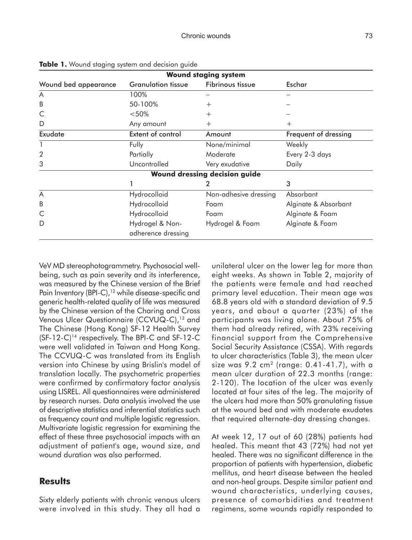| <b>Wound staging system</b> |                                       |                               |                      |  |  |  |  |
|-----------------------------|---------------------------------------|-------------------------------|----------------------|--|--|--|--|
| Wound bed appearance        | <b>Granulation tissue</b>             | Fibrinous tissue              | Eschar               |  |  |  |  |
| A                           | 100%                                  |                               |                      |  |  |  |  |
| B                           | 50-100%                               | $^{+}$                        |                      |  |  |  |  |
| C                           | < 50%                                 | $^{+}$                        |                      |  |  |  |  |
| D                           | Any amount                            | $^{+}$                        | $^{+}$               |  |  |  |  |
| Exudate                     | Extent of control                     | Amount                        | Frequent of dressing |  |  |  |  |
|                             | Fully                                 | None/minimal                  | Weekly               |  |  |  |  |
| $\overline{2}$              | Partially                             | Moderate                      | Every 2-3 days       |  |  |  |  |
| 3                           | Uncontrolled                          | Very exudative                | Daily                |  |  |  |  |
|                             |                                       | Wound dressing decision guide |                      |  |  |  |  |
|                             |                                       | 2                             | 3                    |  |  |  |  |
| A                           | Hydrocolloid                          | Non-adhesive dressing         | Absorbant            |  |  |  |  |
| B                           | Hydrocolloid                          | Foam                          | Alginate & Absorbant |  |  |  |  |
| C                           | Hydrocolloid                          | Foam                          | Alginate & Foam      |  |  |  |  |
| D                           | Hydrogel & Non-<br>adherence dressing | Hydrogel & Foam               | Alginate & Foam      |  |  |  |  |

**Table 1.** Wound staging system and decision guide

VeV MD stereophotogrammetry. Psychosocial wellbeing, such as pain severity and its interference, was measured by the Chinese version of the Brief Pain Inventory (BPI-C),<sup>12</sup> while disease-specific and generic health-related quality of life was measured by the Chinese version of the Charing and Cross Venous Ulcer Questionnaire (CCVUQ-C),<sup>13</sup> and The Chinese (Hong Kong) SF-12 Health Survey  $(SF-12-C)^{14}$  respectively. The BPI-C and SF-12-C were well validated in Taiwan and Hong Kong. The CCVUQ-C was translated from its English version into Chinese by using Brislin's model of translation locally. The psychometric properties were confirmed by confirmatory factor analysis using LISREL. All questionnaires were administered by research nurses. Data analysis involved the use of descriptive statistics and inferential statistics such as frequency count and multiple logistic regression. Multivariate logistic regression for examining the effect of these three psychosocial impacts with an adjustment of patient's age, wound size, and wound duration was also performed.

### **Results**

Sixty elderly patients with chronic venous ulcers were involved in this study. They all had a unilateral ulcer on the lower leg for more than eight weeks. As shown in Table 2, majority of the patients were female and had reached primary level education. Their mean age was 68.8 years old with a standard deviation of 9.5 years, and about a quarter (23%) of the participants was living alone. About 75% of them had already retired, with 23% receiving financial support from the Comprehensive Social Security Assistance (CSSA). With regards to ulcer characteristics (Table 3), the mean ulcer size was  $9.2 \text{ cm}^2$  (range: 0.41-41.7), with a mean ulcer duration of 22.3 months (range: 2-120). The location of the ulcer was evenly located at four sites of the leg. The majority of the ulcers had more than 50% granulating tissue at the wound bed and with moderate exudates that required alternate-day dressing changes.

At week 12, 17 out of 60 (28%) patients had healed. This meant that 43 (72%) had not yet healed. There was no significant difference in the proportion of patients with hypertension, diabetic mellitus, and heart disease between the healed and non-heal groups. Despite similar patient and wound characteristics, underlying causes, presence of comorbidities and treatment regimens, some wounds rapidly responded to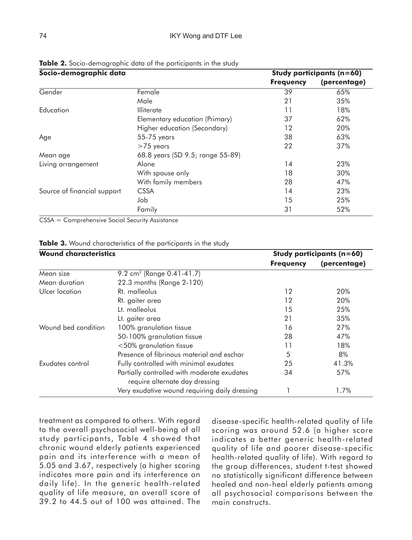| Socio-demographic data      |                                  |                  | Study participants (n=60) |
|-----------------------------|----------------------------------|------------------|---------------------------|
|                             |                                  | <b>Frequency</b> | (percentage)              |
| Gender                      | Female                           | 39               | 65%                       |
|                             | Male                             | 21               | 35%                       |
| Education                   | <b>Illiterate</b>                | 11               | 18%                       |
|                             | Elementary education (Primary)   | 37               | 62%                       |
|                             | Higher education (Secondary)     | 12               | 20%                       |
| Age                         | 55-75 years                      | 38               | 63%                       |
|                             | $>75$ years                      | 22               | 37%                       |
| Mean age                    | 68.8 years (SD 9.5; range 55-89) |                  |                           |
| Living arrangement          | Alone                            | 14               | 23%                       |
|                             | With spouse only                 | 18               | 30%                       |
|                             | With family members              | 28               | 47%                       |
| Source of financial support | <b>CSSA</b>                      | 14               | 23%                       |
|                             | dol                              | 15               | 25%                       |
|                             | Family                           | 31               | 52%                       |

**Table 2.** Socio-demographic data of the participants in the study

CSSA = Comprehensive Social Security Assistance

| <b>Wound characteristics</b> | Study participants (n=60)                                                     |                  |              |  |
|------------------------------|-------------------------------------------------------------------------------|------------------|--------------|--|
|                              |                                                                               | <b>Frequency</b> | (percentage) |  |
| Mean size                    | 9.2 cm <sup>2</sup> (Range 0.41-41.7)                                         |                  |              |  |
| Mean duration                | 22.3 months (Range 2-120)                                                     |                  |              |  |
| Ulcer location               | Rt. malleolus                                                                 | 12               | 20%          |  |
|                              | Rt. gaiter area                                                               | 12               | 20%          |  |
|                              | Lt. malleolus                                                                 | 15               | 25%          |  |
|                              | Lt. gaiter area                                                               | 21               | 35%          |  |
| Wound bed condition          | 100% granulation tissue                                                       | 16               | 27%          |  |
|                              | 50-100% granulation tissue                                                    | 28               | 47%          |  |
|                              | $<$ 50% granulation tissue                                                    | 11               | 18%          |  |
|                              | Presence of fibrinous material and eschar                                     | 5                | 8%           |  |
| Exudates control             | Fully controlled with minimal exudates                                        | 25               | 41.3%        |  |
|                              | Partially controlled with moderate exudates<br>require alternate day dressing | 34               | 57%          |  |
|                              | Very exudative wound requiring daily dressing                                 |                  | 1.7%         |  |

#### **Table 3.** Wound characteristics of the participants in the study

treatment as compared to others. With regard to the overall psychosocial well-being of all study participants, Table 4 showed that chronic wound elderly patients experienced pain and its interference with a mean of 5.05 and 3.67, respectively (a higher scoring indicates more pain and its interference on daily life). In the generic health-related quality of life measure, an overall score of 39.2 to 44.5 out of 100 was attained. The

disease-specific health-related quality of life scoring was around 52.6 (a higher score indicates a better generic health-related quality of life and poorer disease-specific health-related quality of life). With regard to the group differences, student t-test showed no statistically significant difference between healed and non-heal elderly patients among all psychosocial comparisons between the main constructs.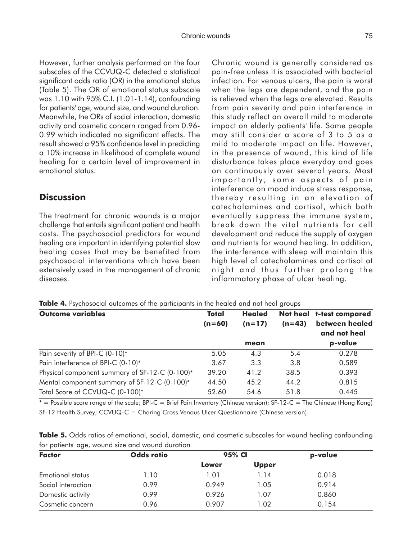However, further analysis performed on the four subscales of the CCVUQ-C detected a statistical significant odds ratio (OR) in the emotional status (Table 5). The OR of emotional status subscale was 1.10 with 95% C.I. (1.01-1.14), confounding for patients' age, wound size, and wound duration. Meanwhile, the ORs of social interaction, domestic activity and cosmetic concern ranged from 0.96- 0.99 which indicated no significant effects. The result showed a 95% confidence level in predicting a 10% increase in likelihood of complete wound healing for a certain level of improvement in emotional status.

# **Discussion**

The treatment for chronic wounds is a major challenge that entails significant patient and health costs. The psychosocial predictors for wound healing are important in identifying potential slow healing cases that may be benefited from psychosocial interventions which have been extensively used in the management of chronic diseases.

Chronic wound is generally considered as pain-free unless it is associated with bacterial infection. For venous ulcers, the pain is worst when the legs are dependent, and the pain is relieved when the legs are elevated. Results from pain severity and pain interference in this study reflect an overall mild to moderate impact on elderly patients' life. Some people may still consider a score of 3 to 5 as a mild to moderate impact on life. However, in the presence of wound, this kind of life disturbance takes place everyday and goes on continuously over several years. Most importantly, some aspects of pain interference on mood induce stress response, thereby resulting in an elevation of catecholamines and cortisol, which both eventually suppress the immune system, break down the vital nutrients for cell development and reduce the supply of oxygen and nutrients for wound healing. In addition, the interference with sleep will maintain this high level of catecholamines and cortisol at night and thus further prolong the inflammatory phase of ulcer healing.

**Table 4.** Psychosocial outcomes of the participants in the healed and not heal groups

| <b>Outcome variables</b>                       | Total<br>$(n=60)$ | <b>Healed</b><br>$(n=17)$ | $(n=43)$ | Not heal t-test compared<br>between healed<br>and not heal |
|------------------------------------------------|-------------------|---------------------------|----------|------------------------------------------------------------|
|                                                |                   | mean                      |          | p-value                                                    |
| Pain severity of BPI-C (0-10)*                 | 5.05              | 4.3                       | 5.4      | 0.278                                                      |
| Pain interference of BPI-C (0-10)*             | 3.67              | 3.3                       | 3.8      | 0.589                                                      |
| Physical component summary of SF-12-C (0-100)* | 39.20             | 41.2                      | 38.5     | 0.393                                                      |
| Mental component summary of SF-12-C (0-100)*   | 44.50             | 45.2                      | 44.2     | 0.815                                                      |
| Total Score of CCVUQ-C (0-100)*                | 52.60             | 54.6                      | 51.8     | 0.445                                                      |

\* = Possible score range of the scale; BPI-C = Brief Pain Inventory (Chinese version); SF-12-C = The Chinese (Hong Kong) SF-12 Health Survey; CCVUQ-C = Charing Cross Venous Ulcer Questionnaire (Chinese version)

|  | Table 5. Odds ratios of emotional, social, domestic, and cosmetic subscales for wound healing confounding |  |  |  |  |  |
|--|-----------------------------------------------------------------------------------------------------------|--|--|--|--|--|
|  | for patients' age, wound size and wound duration                                                          |  |  |  |  |  |

| <b>Factor</b>      | <b>Odds ratio</b> | 95% CI |              | p-value |
|--------------------|-------------------|--------|--------------|---------|
|                    |                   | Lower  | <b>Upper</b> |         |
| Emotional status   | 1.10              | 1.01   | 1.14         | 0.018   |
| Social interaction | 0.99              | 0.949  | 1.05         | 0.914   |
| Domestic activity  | 0.99              | 0.926  | 1.07         | 0.860   |
| Cosmetic concern   | 0.96              | 0.907  | 1.02         | 0.154   |